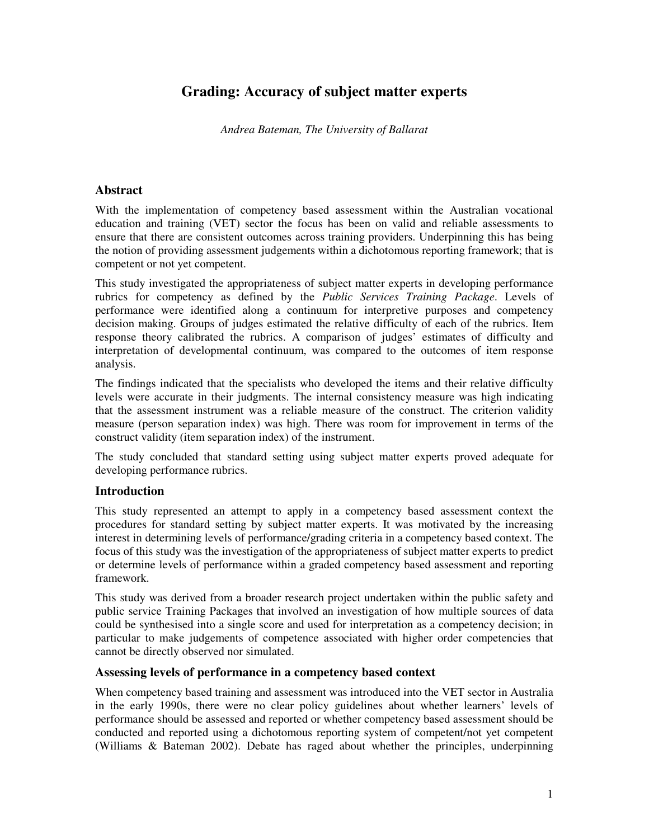# **Grading: Accuracy of subject matter experts**

*Andrea Bateman, The University of Ballarat*

### **Abstract**

With the implementation of competency based assessment within the Australian vocational education and training (VET) sector the focus has been on valid and reliable assessments to ensure that there are consistent outcomes across training providers. Underpinning this has being the notion of providing assessment judgements within a dichotomous reporting framework; that is competent or not yet competent.

This study investigated the appropriateness of subject matter experts in developing performance rubrics for competency as defined by the *Public Services Training Package*. Levels of performance were identified along a continuum for interpretive purposes and competency decision making. Groups of judges estimated the relative difficulty of each of the rubrics. Item response theory calibrated the rubrics. A comparison of judges' estimates of difficulty and interpretation of developmental continuum, was compared to the outcomes of item response analysis.

The findings indicated that the specialists who developed the items and their relative difficulty levels were accurate in their judgments. The internal consistency measure was high indicating that the assessment instrument was a reliable measure of the construct. The criterion validity measure (person separation index) was high. There was room for improvement in terms of the construct validity (item separation index) of the instrument.

The study concluded that standard setting using subject matter experts proved adequate for developing performance rubrics.

# **Introduction**

This study represented an attempt to apply in a competency based assessment context the procedures for standard setting by subject matter experts. It was motivated by the increasing interest in determining levels of performance/grading criteria in a competency based context. The focus of this study was the investigation of the appropriateness of subject matter experts to predict or determine levels of performance within a graded competency based assessment and reporting framework.

This study was derived from a broader research project undertaken within the public safety and public service Training Packages that involved an investigation of how multiple sources of data could be synthesised into a single score and used for interpretation as a competency decision; in particular to make judgements of competence associated with higher order competencies that cannot be directly observed nor simulated.

### **Assessing levels of performance in a competency based context**

When competency based training and assessment was introduced into the VET sector in Australia in the early 1990s, there were no clear policy guidelines about whether learners' levels of performance should be assessed and reported or whether competency based assessment should be conducted and reported using a dichotomous reporting system of competent/not yet competent (Williams & Bateman 2002). Debate has raged about whether the principles, underpinning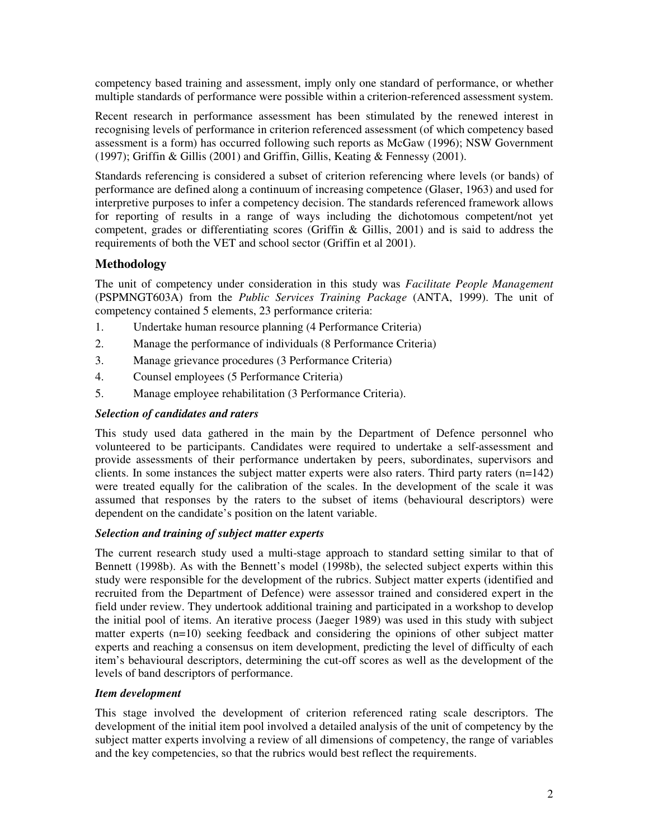competency based training and assessment, imply only one standard of performance, or whether multiple standards of performance were possible within a criterion-referenced assessment system.

Recent research in performance assessment has been stimulated by the renewed interest in recognising levels of performance in criterion referenced assessment (of which competency based assessment is a form) has occurred following such reports as McGaw (1996); NSW Government (1997); Griffin & Gillis (2001) and Griffin, Gillis, Keating & Fennessy (2001).

Standards referencing is considered a subset of criterion referencing where levels (or bands) of performance are defined along a continuum of increasing competence (Glaser, 1963) and used for interpretive purposes to infer a competency decision. The standards referenced framework allows for reporting of results in a range of ways including the dichotomous competent/not yet competent, grades or differentiating scores (Griffin & Gillis, 2001) and is said to address the requirements of both the VET and school sector (Griffin et al 2001).

# **Methodology**

The unit of competency under consideration in this study was *Facilitate People Management* (PSPMNGT603A) from the *Public Services Training Package* (ANTA, 1999). The unit of competency contained 5 elements, 23 performance criteria:

- 1. Undertake human resource planning (4 Performance Criteria)
- 2. Manage the performance of individuals (8 Performance Criteria)
- 3. Manage grievance procedures (3 Performance Criteria)
- 4. Counsel employees (5 Performance Criteria)
- 5. Manage employee rehabilitation (3 Performance Criteria).

## *Selection of candidates and raters*

This study used data gathered in the main by the Department of Defence personnel who volunteered to be participants. Candidates were required to undertake a self-assessment and provide assessments of their performance undertaken by peers, subordinates, supervisors and clients. In some instances the subject matter experts were also raters. Third party raters (n=142) were treated equally for the calibration of the scales. In the development of the scale it was assumed that responses by the raters to the subset of items (behavioural descriptors) were dependent on the candidate's position on the latent variable.

### *Selection and training of subject matter experts*

The current research study used a multi-stage approach to standard setting similar to that of Bennett (1998b). As with the Bennett's model (1998b), the selected subject experts within this study were responsible for the development of the rubrics. Subject matter experts (identified and recruited from the Department of Defence) were assessor trained and considered expert in the field under review. They undertook additional training and participated in a workshop to develop the initial pool of items. An iterative process (Jaeger 1989) was used in this study with subject matter experts  $(n=10)$  seeking feedback and considering the opinions of other subject matter experts and reaching a consensus on item development, predicting the level of difficulty of each item's behavioural descriptors, determining the cut-off scores as well as the development of the levels of band descriptors of performance.

### *Item development*

This stage involved the development of criterion referenced rating scale descriptors. The development of the initial item pool involved a detailed analysis of the unit of competency by the subject matter experts involving a review of all dimensions of competency, the range of variables and the key competencies, so that the rubrics would best reflect the requirements.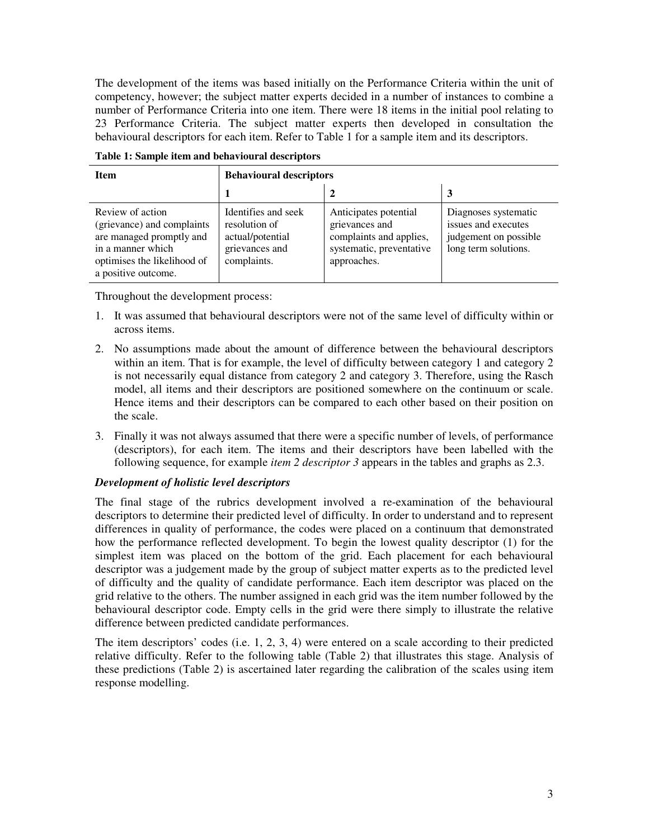The development of the items was based initially on the Performance Criteria within the unit of competency, however; the subject matter experts decided in a number of instances to combine a number of Performance Criteria into one item. There were 18 items in the initial pool relating to 23 Performance Criteria. The subject matter experts then developed in consultation the behavioural descriptors for each item. Refer to Table 1 for a sample item and its descriptors.

| <b>Item</b>                                                                                                                                           | <b>Behavioural descriptors</b>                                                            |                                                                                                               |                                                                                              |  |  |  |  |  |  |  |
|-------------------------------------------------------------------------------------------------------------------------------------------------------|-------------------------------------------------------------------------------------------|---------------------------------------------------------------------------------------------------------------|----------------------------------------------------------------------------------------------|--|--|--|--|--|--|--|
|                                                                                                                                                       |                                                                                           |                                                                                                               |                                                                                              |  |  |  |  |  |  |  |
| Review of action<br>(grievance) and complaints<br>are managed promptly and<br>in a manner which<br>optimises the likelihood of<br>a positive outcome. | Identifies and seek<br>resolution of<br>actual/potential<br>grievances and<br>complaints. | Anticipates potential<br>grievances and<br>complaints and applies,<br>systematic, preventative<br>approaches. | Diagnoses systematic<br>issues and executes<br>judgement on possible<br>long term solutions. |  |  |  |  |  |  |  |

**Table 1: Sample item and behavioural descriptors**

Throughout the development process:

- 1. It was assumed that behavioural descriptors were not of the same level of difficulty within or across items.
- 2. No assumptions made about the amount of difference between the behavioural descriptors within an item. That is for example, the level of difficulty between category 1 and category 2 is not necessarily equal distance from category 2 and category 3. Therefore, using the Rasch model, all items and their descriptors are positioned somewhere on the continuum or scale. Hence items and their descriptors can be compared to each other based on their position on the scale.
- 3. Finally it was not always assumed that there were a specific number of levels, of performance (descriptors), for each item. The items and their descriptors have been labelled with the following sequence, for example *item 2 descriptor 3* appears in the tables and graphs as 2.3.

# *Development of holistic level descriptors*

The final stage of the rubrics development involved a re-examination of the behavioural descriptors to determine their predicted level of difficulty. In order to understand and to represent differences in quality of performance, the codes were placed on a continuum that demonstrated how the performance reflected development. To begin the lowest quality descriptor (1) for the simplest item was placed on the bottom of the grid. Each placement for each behavioural descriptor was a judgement made by the group of subject matter experts as to the predicted level of difficulty and the quality of candidate performance. Each item descriptor was placed on the grid relative to the others. The number assigned in each grid was the item number followed by the behavioural descriptor code. Empty cells in the grid were there simply to illustrate the relative difference between predicted candidate performances.

The item descriptors' codes (i.e. 1, 2, 3, 4) were entered on a scale according to their predicted relative difficulty. Refer to the following table (Table 2) that illustrates this stage. Analysis of these predictions (Table 2) is ascertained later regarding the calibration of the scales using item response modelling.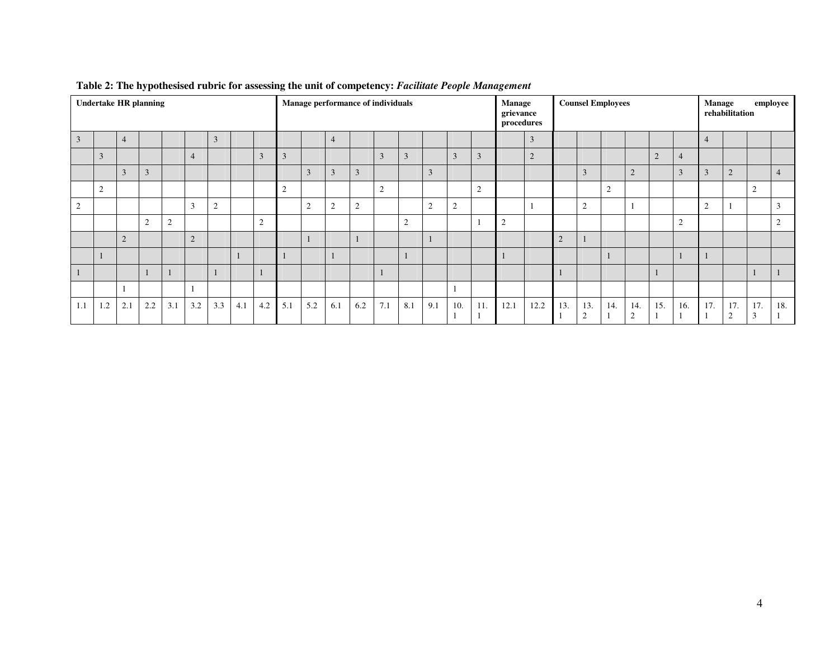|                | <b>Undertake HR planning</b> |                |                |                |                |     | Manage performance of individuals |          |     |                |                |     | <b>Manage</b><br>grievance<br>procedures |                | <b>Counsel Employees</b> |                    |               |      |                | employee<br>Manage<br>rehabilitation |                    |     |                       |                |                |                |                    |                                     |                |
|----------------|------------------------------|----------------|----------------|----------------|----------------|-----|-----------------------------------|----------|-----|----------------|----------------|-----|------------------------------------------|----------------|--------------------------|--------------------|---------------|------|----------------|--------------------------------------|--------------------|-----|-----------------------|----------------|----------------|----------------|--------------------|-------------------------------------|----------------|
| 3              |                              | $\overline{4}$ |                |                |                | 3   |                                   |          |     |                | $\overline{4}$ |     |                                          |                |                          |                    |               |      | 3              |                                      |                    |     |                       |                |                | $\overline{4}$ |                    |                                     |                |
|                | 3                            |                |                |                | $\overline{4}$ |     |                                   | 3        | 3   |                |                |     | $\overline{3}$                           | 3              |                          | 3                  | 3             |      | $\overline{2}$ |                                      |                    |     |                       | $\overline{2}$ | $\overline{4}$ |                |                    |                                     |                |
|                |                              | 3              | $\overline{3}$ |                |                |     |                                   |          |     | 3              | 3              | 3   |                                          |                | $\mathbf{3}$             |                    |               |      |                |                                      | 3                  |     | 2                     |                | 3              | 3              | $\overline{2}$     |                                     | $\overline{4}$ |
|                | $\overline{2}$               |                |                |                |                |     |                                   |          | 2   |                |                |     | $\overline{2}$                           |                |                          |                    | $\Omega$<br>∠ |      |                |                                      |                    | 2   |                       |                |                |                |                    | $\Omega$<br>∠                       |                |
| $\overline{2}$ |                              |                |                |                | 3              | 2   |                                   |          |     | $\overline{2}$ | 2              | 2   |                                          |                | 2                        | $\mathcal{L}$<br>∠ |               |      |                |                                      | 2                  |     |                       |                |                | $\sim$<br>∠    |                    |                                     | 3              |
|                |                              |                | 2              | $\mathfrak{2}$ |                |     |                                   | $\Omega$ |     |                |                |     |                                          | $\mathfrak{2}$ |                          |                    |               | 2    |                |                                      |                    |     |                       |                | 2              |                |                    |                                     | 2              |
|                |                              | 2              |                |                | $\overline{2}$ |     |                                   |          |     | $\mathbf{I}$   |                |     |                                          |                |                          |                    |               |      |                | $\overline{2}$                       |                    |     |                       |                |                |                |                    |                                     |                |
|                |                              |                |                |                |                |     |                                   |          |     |                |                |     |                                          |                |                          |                    |               |      |                |                                      |                    |     |                       |                |                |                |                    |                                     |                |
|                |                              |                |                |                |                |     |                                   |          |     |                |                |     |                                          |                |                          |                    |               |      |                |                                      |                    |     |                       |                |                |                |                    |                                     |                |
|                |                              |                |                |                |                |     |                                   |          |     |                |                |     |                                          |                |                          |                    |               |      |                |                                      |                    |     |                       |                |                |                |                    |                                     |                |
| 1.1            | 1.2                          | 2.1            | 2.2            | 3.1            | 3.2            | 3.3 | 4.1                               | 4.2      | 5.1 | 5.2            | 6.1            | 6.2 | 7.1                                      | 8.1            | 9.1                      | 10.                | 11.           | 12.1 | 12.2           | 13.                                  | 13.<br>$\sim$<br>∠ | 14. | 14.<br>$\overline{2}$ | 15.            | 16.            | 17.            | 17.<br>$\sim$<br>∠ | 17.<br>$\bigcirc$<br>$\mathfrak{I}$ | 18.            |

#### **Table 2: The hypothesised rubric for assessing the unit of competency:** *Facilitate People Management*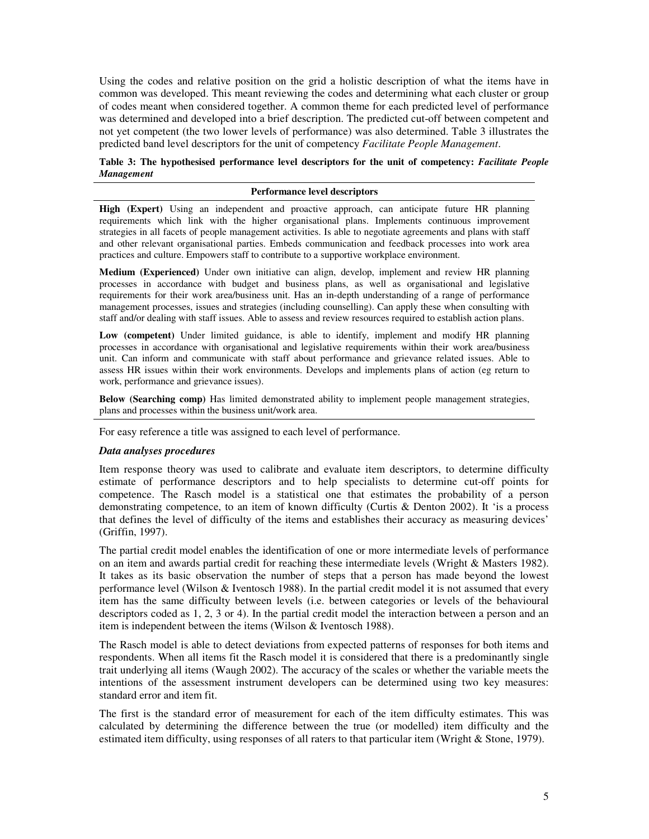Using the codes and relative position on the grid a holistic description of what the items have in common was developed. This meant reviewing the codes and determining what each cluster or group of codes meant when considered together. A common theme for each predicted level of performance was determined and developed into a brief description. The predicted cut-off between competent and not yet competent (the two lower levels of performance) was also determined. Table 3 illustrates the predicted band level descriptors for the unit of competency *Facilitate People Management*.

### **Table 3: The hypothesised performance level descriptors for the unit of competency:** *Facilitate People Management*

#### **Performance level descriptors**

**High (Expert)** Using an independent and proactive approach, can anticipate future HR planning requirements which link with the higher organisational plans. Implements continuous improvement strategies in all facets of people management activities. Is able to negotiate agreements and plans with staff and other relevant organisational parties. Embeds communication and feedback processes into work area practices and culture. Empowers staff to contribute to a supportive workplace environment.

**Medium (Experienced)** Under own initiative can align, develop, implement and review HR planning processes in accordance with budget and business plans, as well as organisational and legislative requirements for their work area/business unit. Has an in-depth understanding of a range of performance management processes, issues and strategies (including counselling). Can apply these when consulting with staff and/or dealing with staff issues. Able to assess and review resources required to establish action plans.

**Low (competent)** Under limited guidance, is able to identify, implement and modify HR planning processes in accordance with organisational and legislative requirements within their work area/business unit. Can inform and communicate with staff about performance and grievance related issues. Able to assess HR issues within their work environments. Develops and implements plans of action (eg return to work, performance and grievance issues).

**Below (Searching comp)** Has limited demonstrated ability to implement people management strategies, plans and processes within the business unit/work area.

For easy reference a title was assigned to each level of performance.

### *Data analyses procedures*

Item response theory was used to calibrate and evaluate item descriptors, to determine difficulty estimate of performance descriptors and to help specialists to determine cut-off points for competence. The Rasch model is a statistical one that estimates the probability of a person demonstrating competence, to an item of known difficulty (Curtis & Denton 2002). It 'is a process that defines the level of difficulty of the items and establishes their accuracy as measuring devices' (Griffin, 1997).

The partial credit model enables the identification of one or more intermediate levels of performance on an item and awards partial credit for reaching these intermediate levels (Wright & Masters 1982). It takes as its basic observation the number of steps that a person has made beyond the lowest performance level (Wilson & Iventosch 1988). In the partial credit model it is not assumed that every item has the same difficulty between levels (i.e. between categories or levels of the behavioural descriptors coded as 1, 2, 3 or 4). In the partial credit model the interaction between a person and an item is independent between the items (Wilson & Iventosch 1988).

The Rasch model is able to detect deviations from expected patterns of responses for both items and respondents. When all items fit the Rasch model it is considered that there is a predominantly single trait underlying all items (Waugh 2002). The accuracy of the scales or whether the variable meets the intentions of the assessment instrument developers can be determined using two key measures: standard error and item fit.

The first is the standard error of measurement for each of the item difficulty estimates. This was calculated by determining the difference between the true (or modelled) item difficulty and the estimated item difficulty, using responses of all raters to that particular item (Wright & Stone, 1979).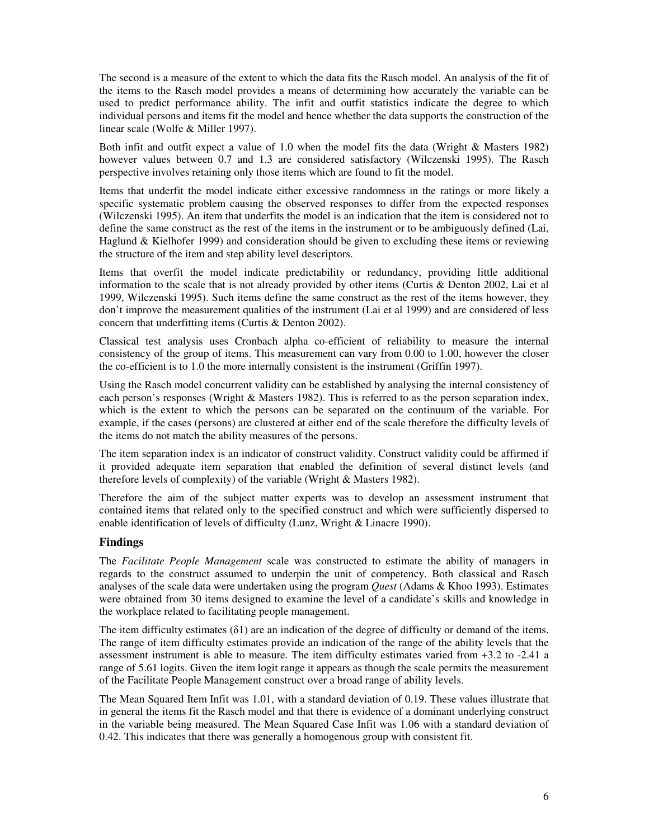The second is a measure of the extent to which the data fits the Rasch model. An analysis of the fit of the items to the Rasch model provides a means of determining how accurately the variable can be used to predict performance ability. The infit and outfit statistics indicate the degree to which individual persons and items fit the model and hence whether the data supports the construction of the linear scale (Wolfe & Miller 1997).

Both infit and outfit expect a value of 1.0 when the model fits the data (Wright & Masters 1982) however values between 0.7 and 1.3 are considered satisfactory (Wilczenski 1995). The Rasch perspective involves retaining only those items which are found to fit the model.

Items that underfit the model indicate either excessive randomness in the ratings or more likely a specific systematic problem causing the observed responses to differ from the expected responses (Wilczenski 1995). An item that underfits the model is an indication that the item is considered not to define the same construct as the rest of the items in the instrument or to be ambiguously defined (Lai, Haglund & Kielhofer 1999) and consideration should be given to excluding these items or reviewing the structure of the item and step ability level descriptors.

Items that overfit the model indicate predictability or redundancy, providing little additional information to the scale that is not already provided by other items (Curtis & Denton 2002, Lai et al 1999, Wilczenski 1995). Such items define the same construct as the rest of the items however, they don't improve the measurement qualities of the instrument (Lai et al 1999) and are considered of less concern that underfitting items (Curtis & Denton 2002).

Classical test analysis uses Cronbach alpha co-efficient of reliability to measure the internal consistency of the group of items. This measurement can vary from 0.00 to 1.00, however the closer the co-efficient is to 1.0 the more internally consistent is the instrument (Griffin 1997).

Using the Rasch model concurrent validity can be established by analysing the internal consistency of each person's responses (Wright & Masters 1982). This is referred to as the person separation index, which is the extent to which the persons can be separated on the continuum of the variable. For example, if the cases (persons) are clustered at either end of the scale therefore the difficulty levels of the items do not match the ability measures of the persons.

The item separation index is an indicator of construct validity. Construct validity could be affirmed if it provided adequate item separation that enabled the definition of several distinct levels (and therefore levels of complexity) of the variable (Wright & Masters 1982).

Therefore the aim of the subject matter experts was to develop an assessment instrument that contained items that related only to the specified construct and which were sufficiently dispersed to enable identification of levels of difficulty (Lunz, Wright & Linacre 1990).

### **Findings**

The *Facilitate People Management* scale was constructed to estimate the ability of managers in regards to the construct assumed to underpin the unit of competency. Both classical and Rasch analyses of the scale data were undertaken using the program *Quest* (Adams & Khoo 1993). Estimates were obtained from 30 items designed to examine the level of a candidate's skills and knowledge in the workplace related to facilitating people management.

The item difficulty estimates  $(\delta 1)$  are an indication of the degree of difficulty or demand of the items. The range of item difficulty estimates provide an indication of the range of the ability levels that the assessment instrument is able to measure. The item difficulty estimates varied from +3.2 to -2.41 a range of 5.61 logits. Given the item logit range it appears as though the scale permits the measurement of the Facilitate People Management construct over a broad range of ability levels.

The Mean Squared Item Infit was 1.01, with a standard deviation of 0.19. These values illustrate that in general the items fit the Rasch model and that there is evidence of a dominant underlying construct in the variable being measured. The Mean Squared Case Infit was 1.06 with a standard deviation of 0.42. This indicates that there was generally a homogenous group with consistent fit.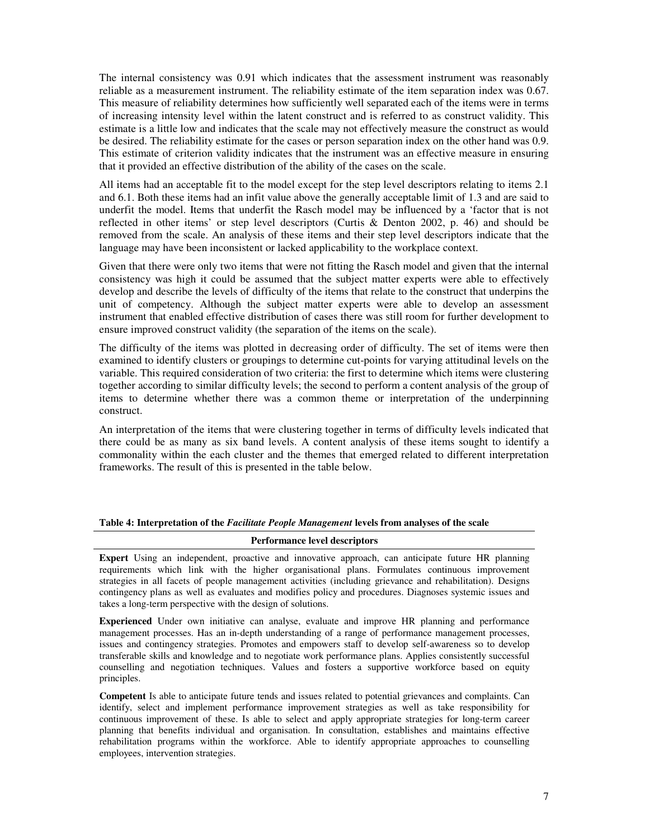The internal consistency was 0.91 which indicates that the assessment instrument was reasonably reliable as a measurement instrument. The reliability estimate of the item separation index was 0.67. This measure of reliability determines how sufficiently well separated each of the items were in terms of increasing intensity level within the latent construct and is referred to as construct validity. This estimate is a little low and indicates that the scale may not effectively measure the construct as would be desired. The reliability estimate for the cases or person separation index on the other hand was 0.9. This estimate of criterion validity indicates that the instrument was an effective measure in ensuring that it provided an effective distribution of the ability of the cases on the scale.

All items had an acceptable fit to the model except for the step level descriptors relating to items 2.1 and 6.1. Both these items had an infit value above the generally acceptable limit of 1.3 and are said to underfit the model. Items that underfit the Rasch model may be influenced by a 'factor that is not reflected in other items' or step level descriptors (Curtis & Denton 2002, p. 46) and should be removed from the scale. An analysis of these items and their step level descriptors indicate that the language may have been inconsistent or lacked applicability to the workplace context.

Given that there were only two items that were not fitting the Rasch model and given that the internal consistency was high it could be assumed that the subject matter experts were able to effectively develop and describe the levels of difficulty of the items that relate to the construct that underpins the unit of competency. Although the subject matter experts were able to develop an assessment instrument that enabled effective distribution of cases there was still room for further development to ensure improved construct validity (the separation of the items on the scale).

The difficulty of the items was plotted in decreasing order of difficulty. The set of items were then examined to identify clusters or groupings to determine cut-points for varying attitudinal levels on the variable. This required consideration of two criteria: the first to determine which items were clustering together according to similar difficulty levels; the second to perform a content analysis of the group of items to determine whether there was a common theme or interpretation of the underpinning construct.

An interpretation of the items that were clustering together in terms of difficulty levels indicated that there could be as many as six band levels. A content analysis of these items sought to identify a commonality within the each cluster and the themes that emerged related to different interpretation frameworks. The result of this is presented in the table below.

#### **Table 4: Interpretation of the** *Facilitate People Management* **levels from analyses of the scale**

#### **Performance level descriptors**

**Expert** Using an independent, proactive and innovative approach, can anticipate future HR planning requirements which link with the higher organisational plans. Formulates continuous improvement strategies in all facets of people management activities (including grievance and rehabilitation). Designs contingency plans as well as evaluates and modifies policy and procedures. Diagnoses systemic issues and takes a long-term perspective with the design of solutions.

**Experienced** Under own initiative can analyse, evaluate and improve HR planning and performance management processes. Has an in-depth understanding of a range of performance management processes, issues and contingency strategies. Promotes and empowers staff to develop self-awareness so to develop transferable skills and knowledge and to negotiate work performance plans. Applies consistently successful counselling and negotiation techniques. Values and fosters a supportive workforce based on equity principles.

**Competent** Is able to anticipate future tends and issues related to potential grievances and complaints. Can identify, select and implement performance improvement strategies as well as take responsibility for continuous improvement of these. Is able to select and apply appropriate strategies for long-term career planning that benefits individual and organisation. In consultation, establishes and maintains effective rehabilitation programs within the workforce. Able to identify appropriate approaches to counselling employees, intervention strategies.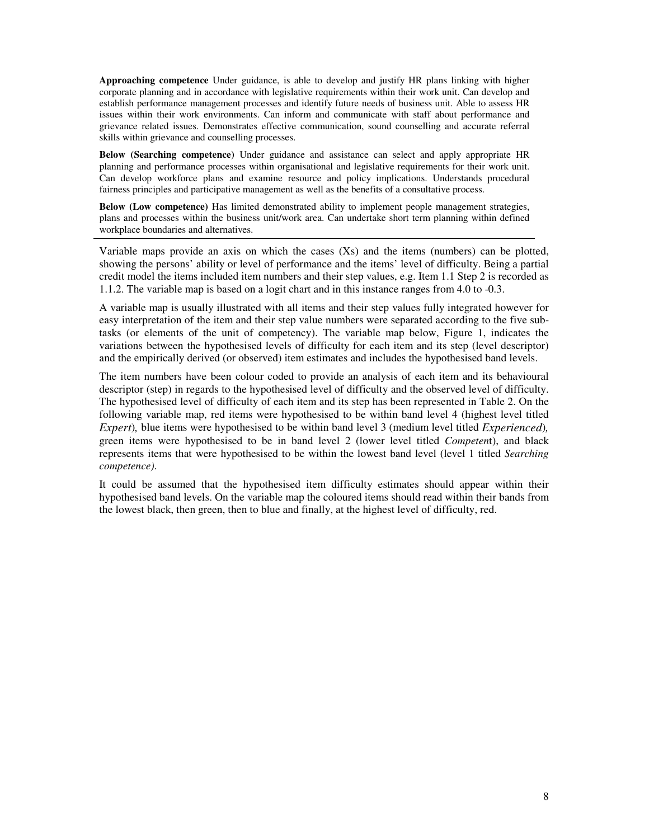**Approaching competence** Under guidance, is able to develop and justify HR plans linking with higher corporate planning and in accordance with legislative requirements within their work unit. Can develop and establish performance management processes and identify future needs of business unit. Able to assess HR issues within their work environments. Can inform and communicate with staff about performance and grievance related issues. Demonstrates effective communication, sound counselling and accurate referral skills within grievance and counselling processes.

**Below (Searching competence)** Under guidance and assistance can select and apply appropriate HR planning and performance processes within organisational and legislative requirements for their work unit. Can develop workforce plans and examine resource and policy implications. Understands procedural fairness principles and participative management as well as the benefits of a consultative process.

**Below (Low competence)** Has limited demonstrated ability to implement people management strategies, plans and processes within the business unit/work area. Can undertake short term planning within defined workplace boundaries and alternatives.

Variable maps provide an axis on which the cases  $(Xs)$  and the items (numbers) can be plotted, showing the persons' ability or level of performance and the items' level of difficulty. Being a partial credit model the items included item numbers and their step values, e.g. Item 1.1 Step 2 is recorded as 1.1.2. The variable map is based on a logit chart and in this instance ranges from 4.0 to -0.3.

A variable map is usually illustrated with all items and their step values fully integrated however for easy interpretation of the item and their step value numbers were separated according to the five subtasks (or elements of the unit of competency). The variable map below, Figure 1, indicates the variations between the hypothesised levels of difficulty for each item and its step (level descriptor) and the empirically derived (or observed) item estimates and includes the hypothesised band levels.

The item numbers have been colour coded to provide an analysis of each item and its behavioural descriptor (step) in regards to the hypothesised level of difficulty and the observed level of difficulty. The hypothesised level of difficulty of each item and its step has been represented in Table 2. On the following variable map, red items were hypothesised to be within band level 4 (highest level titled *Expert*)*,* blue items were hypothesised to be within band level 3 (medium level titled *Experienced*)*,* green items were hypothesised to be in band level 2 (lower level titled *Competen*t), and black represents items that were hypothesised to be within the lowest band level (level 1 titled *Searching competence)*.

It could be assumed that the hypothesised item difficulty estimates should appear within their hypothesised band levels. On the variable map the coloured items should read within their bands from the lowest black, then green, then to blue and finally, at the highest level of difficulty, red.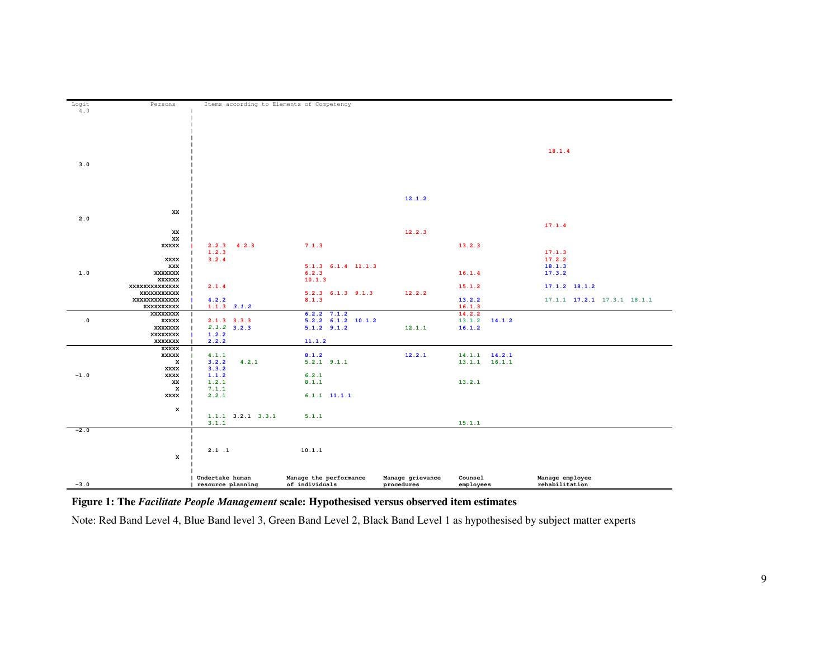| Logit     | Persons           | Items according to Elements of Competency |                          |                  |                   |                             |
|-----------|-------------------|-------------------------------------------|--------------------------|------------------|-------------------|-----------------------------|
| $4.0\,$   |                   |                                           |                          |                  |                   |                             |
|           |                   |                                           |                          |                  |                   |                             |
|           |                   |                                           |                          |                  |                   |                             |
|           |                   |                                           |                          |                  |                   |                             |
|           |                   |                                           |                          |                  |                   |                             |
|           |                   |                                           |                          |                  |                   |                             |
|           |                   |                                           |                          |                  |                   | 18.1.4                      |
|           |                   |                                           |                          |                  |                   |                             |
| 3.0       |                   |                                           |                          |                  |                   |                             |
|           |                   |                                           |                          |                  |                   |                             |
|           |                   |                                           |                          |                  |                   |                             |
|           |                   |                                           |                          |                  |                   |                             |
|           |                   |                                           |                          | 12.1.2           |                   |                             |
|           |                   |                                           |                          |                  |                   |                             |
|           | XX                |                                           |                          |                  |                   |                             |
| 2.0       |                   |                                           |                          |                  |                   |                             |
|           |                   |                                           |                          |                  |                   | 17.1.4                      |
|           | XX                |                                           |                          | 12.2.3           |                   |                             |
|           | XX                |                                           |                          |                  |                   |                             |
|           | XXXXX             | $2.2.3$ $4.2.3$                           | 7.1.3                    |                  | 13.2.3            |                             |
|           |                   | 1.2.3                                     |                          |                  |                   | 17.1.3                      |
|           | XXXX              | 3.2.4                                     |                          |                  |                   | 17.2.2                      |
|           | XXX               |                                           | $5.1.3$ $6.1.4$ $11.1.3$ |                  |                   | 18.1.3                      |
| 1.0       | XXXXXXX           |                                           | 6.2.3                    |                  | 16.1.4            | 17.3.2                      |
|           | XXXXXX            |                                           | 10.1.3                   |                  |                   |                             |
|           | XXXXXXXXXXXXX     | 2.1.4                                     |                          |                  | 15.1.2            | $17.1.2$ 18.1.2             |
|           | XXXXXXXXXXX       |                                           | $5.2.3$ $6.1.3$ $9.1.3$  | 12.2.2           |                   |                             |
|           | XXXXXXXXXXXX      | 4.2.2                                     | 8.1.3                    |                  | 13.2.2            | 17.1.1 17.2.1 17.3.1 18.1.1 |
|           | XXXXXXXXXX        | $1.1.3$ $3.1.2$                           | $6.2.2$ 7.1.2            |                  | 16.1.3<br>14.2.2  |                             |
| $\cdot$ 0 | XXXXXXXX<br>XXXXX | $2.1.3$ 3.3.3                             | $5.2.2$ $6.1.2$ $10.1.2$ |                  | $13.1.2$ 14.1.2   |                             |
|           | XXXXXXX           | $2.1.2$ 3.2.3                             | $5.1.2$ $9.1.2$          | 12.1.1           | 16.1.2            |                             |
|           | XXXXXXXX          | 1.2.2                                     |                          |                  |                   |                             |
|           | XXXXXXX           | 2.2.2                                     | 11.1.2                   |                  |                   |                             |
|           | <b>XXXXX</b>      |                                           |                          |                  |                   |                             |
|           | XXXXX             | 4.1.1                                     | 8.1.2                    | 12.2.1           | $14.1.1$ $14.2.1$ |                             |
|           | x                 | 3.2.2<br>4.2.1                            | $5.2.1$ $9.1.1$          |                  | $13.1.1$ $16.1.1$ |                             |
|           | XXXX              | 3.3.2                                     |                          |                  |                   |                             |
| $-1.0$    | XXXX              | 1.1.2                                     | 6.2.1                    |                  |                   |                             |
|           | XX                | 1.2.1                                     | 8.1.1                    |                  | 13.2.1            |                             |
|           | x                 | 7.1.1                                     |                          |                  |                   |                             |
|           | XXXX              | 2.2.1                                     | $6.1.1$ $11.1.1$         |                  |                   |                             |
|           |                   |                                           |                          |                  |                   |                             |
|           | x                 |                                           |                          |                  |                   |                             |
|           |                   | $1.1.1$ $3.2.1$ $3.3.1$                   | 5.1.1                    |                  |                   |                             |
| $-2.0$    |                   | 3.1.1                                     |                          |                  | 15.1.1            |                             |
|           |                   |                                           |                          |                  |                   |                             |
|           |                   |                                           |                          |                  |                   |                             |
|           |                   | 2.1.1                                     | 10.1.1                   |                  |                   |                             |
|           | x                 |                                           |                          |                  |                   |                             |
|           |                   |                                           |                          |                  |                   |                             |
|           |                   |                                           |                          |                  |                   |                             |
|           |                   | Undertake human                           | Manage the performance   | Manage grievance | Counsel           | Manage employee             |
| $-3.0$    |                   | resource planning                         | of individuals           | procedures       | employees         | rehabilitation              |
|           |                   |                                           |                          |                  |                   |                             |

**Figure 1: The** *Facilitate People Management* **scale: Hypothesised versus observed item estimates**

Note: Red Band Level 4, Blue Band level 3, Green Band Level 2, Black Band Level 1 as hypothesised by subject matter experts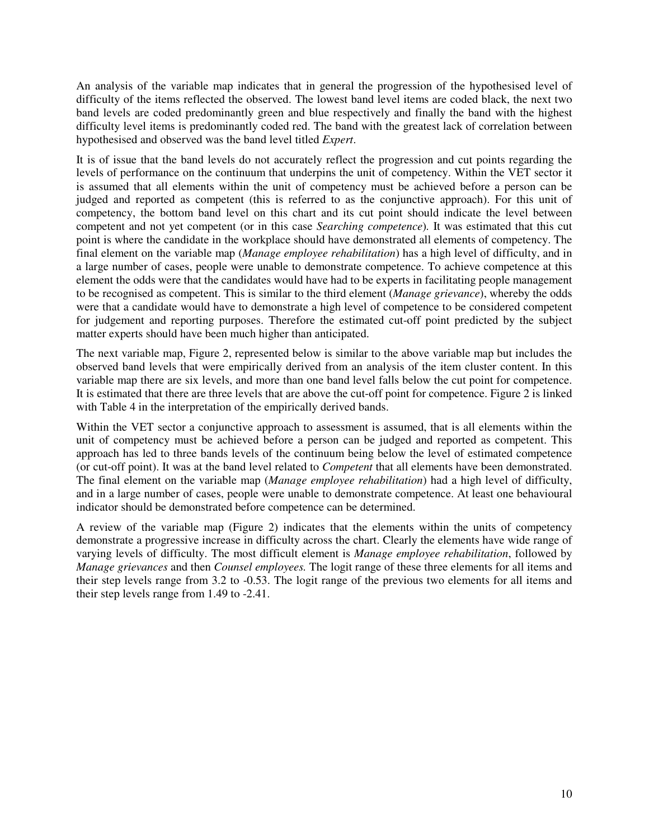An analysis of the variable map indicates that in general the progression of the hypothesised level of difficulty of the items reflected the observed. The lowest band level items are coded black, the next two band levels are coded predominantly green and blue respectively and finally the band with the highest difficulty level items is predominantly coded red. The band with the greatest lack of correlation between hypothesised and observed was the band level titled *Expert*.

It is of issue that the band levels do not accurately reflect the progression and cut points regarding the levels of performance on the continuum that underpins the unit of competency. Within the VET sector it is assumed that all elements within the unit of competency must be achieved before a person can be judged and reported as competent (this is referred to as the conjunctive approach). For this unit of competency, the bottom band level on this chart and its cut point should indicate the level between competent and not yet competent (or in this case *Searching competence*)*.* It was estimated that this cut point is where the candidate in the workplace should have demonstrated all elements of competency. The final element on the variable map (*Manage employee rehabilitation*) has a high level of difficulty, and in a large number of cases, people were unable to demonstrate competence. To achieve competence at this element the odds were that the candidates would have had to be experts in facilitating people management to be recognised as competent. This is similar to the third element (*Manage grievance*), whereby the odds were that a candidate would have to demonstrate a high level of competence to be considered competent for judgement and reporting purposes. Therefore the estimated cut-off point predicted by the subject matter experts should have been much higher than anticipated.

The next variable map, Figure 2, represented below is similar to the above variable map but includes the observed band levels that were empirically derived from an analysis of the item cluster content. In this variable map there are six levels, and more than one band level falls below the cut point for competence. It is estimated that there are three levels that are above the cut-off point for competence. Figure 2 is linked with Table 4 in the interpretation of the empirically derived bands.

Within the VET sector a conjunctive approach to assessment is assumed, that is all elements within the unit of competency must be achieved before a person can be judged and reported as competent. This approach has led to three bands levels of the continuum being below the level of estimated competence (or cut-off point). It was at the band level related to *Competent* that all elements have been demonstrated. The final element on the variable map (*Manage employee rehabilitation*) had a high level of difficulty, and in a large number of cases, people were unable to demonstrate competence. At least one behavioural indicator should be demonstrated before competence can be determined.

A review of the variable map (Figure 2) indicates that the elements within the units of competency demonstrate a progressive increase in difficulty across the chart. Clearly the elements have wide range of varying levels of difficulty. The most difficult element is *Manage employee rehabilitation*, followed by *Manage grievances* and then *Counsel employees.* The logit range of these three elements for all items and their step levels range from 3.2 to -0.53. The logit range of the previous two elements for all items and their step levels range from 1.49 to -2.41.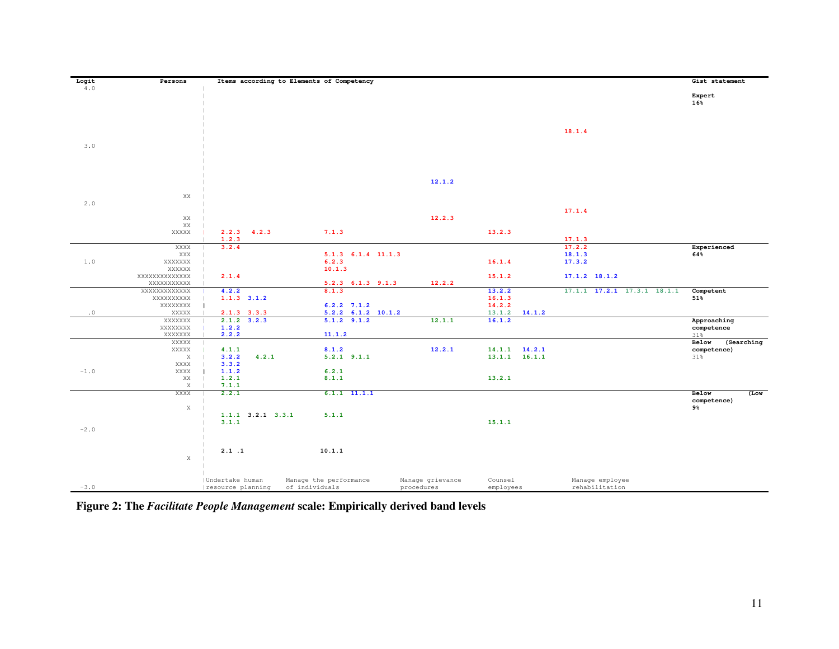| Logit     | Persons             |                                      | Items according to Elements of Competency |                                |                      |                                   | Gist statement            |
|-----------|---------------------|--------------------------------------|-------------------------------------------|--------------------------------|----------------------|-----------------------------------|---------------------------|
| 4.0       |                     |                                      |                                           |                                |                      |                                   | Expert<br>16%             |
|           |                     |                                      |                                           |                                |                      | 18.1.4                            |                           |
| 3.0       |                     |                                      |                                           |                                |                      |                                   |                           |
|           |                     |                                      |                                           |                                |                      |                                   |                           |
|           |                     |                                      |                                           | 12.1.2                         |                      |                                   |                           |
| 2.0       | XX                  |                                      |                                           |                                |                      |                                   |                           |
|           | XX                  |                                      |                                           | 12.2.3                         |                      | 17.1.4                            |                           |
|           | XX<br>XXXXX         | $2.2.3$ $4.2.3$                      | 7.1.3                                     |                                | 13.2.3               |                                   |                           |
|           |                     | 1.2.3                                |                                           |                                |                      | 17.1.3                            |                           |
|           | XXXX                | 3.2.4                                |                                           |                                |                      | 17.2.2                            | Experienced               |
| $1.0$     | XXX<br>XXXXXXX      |                                      | 5.1.3 6.1.4 11.1.3<br>6.2.3               |                                | 16.1.4               | 18.1.3<br>17.3.2                  | 64%                       |
|           | XXXXXX              |                                      | 10.1.3                                    |                                |                      |                                   |                           |
|           | XXXXXXXXXXXXX       | 2.1.4                                |                                           |                                | 15.1.2               | $17.1.2$ 18.1.2                   |                           |
|           | XXXXXXXXXX          |                                      | $5.2.3$ $6.1.3$ $9.1.3$                   | 12.2.2                         |                      |                                   |                           |
|           | XXXXXXXXXXXX        | 4.2.2                                | 8.1.3                                     |                                | 13.2.2               | 17.1.1 17.2.1 17.3.1 18.1.1       | Competent                 |
|           | XXXXXXXXX           | $1.1.3$ $3.1.2$                      |                                           |                                | 16.1.3               |                                   | 51%                       |
|           | XXXXXXXX            |                                      | $6.2.2$ $7.1.2$                           |                                | 14.2.2               |                                   |                           |
| $\cdot$ 0 | XXXXX               | $2.1.3$ $3.3.3$                      | $5.2.2$ $6.1.2$ $10.1.2$                  |                                | 14.1.2<br>13.1.2     |                                   |                           |
|           | XXXXXXX<br>XXXXXXXX | $2.1.2$ $3.2.3$<br>1.2.2             | $5.1.2$ $9.1.2$                           | 12.1.1                         | 16.1.2               |                                   | Approaching<br>competence |
|           | XXXXXXX             | 2.2.2                                | 11.1.2                                    |                                |                      |                                   | 31%                       |
|           | XXXXX               |                                      |                                           |                                |                      |                                   | (Searching<br>Below       |
|           | XXXXX               | 4.1.1                                | 8.1.2                                     | 12.2.1                         | $14.1.1$ $14.2.1$    |                                   | competence)               |
|           | $\mathbf X$         | 3.2.2<br>4.2.1                       | $5.2.1$ $9.1.1$                           |                                | $13.1.1$ $16.1.1$    |                                   | 31%                       |
|           | XXXX                | 3.3.2                                |                                           |                                |                      |                                   |                           |
| $-1.0$    | XXXX                | 1.1.2                                | 6.2.1                                     |                                | 13.2.1               |                                   |                           |
|           | XX<br>$\mathbf X$   | 1.2.1<br>7.1.1                       | 8.1.1                                     |                                |                      |                                   |                           |
|           | XXXX                | 2.2.1                                | $6.1.1$ $11.1.1$                          |                                |                      |                                   | Below<br>$($ Low          |
|           |                     |                                      |                                           |                                |                      |                                   | competence)               |
|           | $\mathbf X$         |                                      |                                           |                                |                      |                                   | 9%                        |
|           |                     | $1.1.1$ $3.2.1$ $3.3.1$              | 5.1.1                                     |                                |                      |                                   |                           |
|           |                     | 3.1.1                                |                                           |                                | 15.1.1               |                                   |                           |
| $-2.0$    |                     |                                      |                                           |                                |                      |                                   |                           |
|           |                     |                                      |                                           |                                |                      |                                   |                           |
|           |                     | 2.1.1                                | 10.1.1                                    |                                |                      |                                   |                           |
|           | $\mathbf X$         |                                      |                                           |                                |                      |                                   |                           |
|           |                     |                                      |                                           |                                |                      |                                   |                           |
|           |                     |                                      |                                           |                                |                      |                                   |                           |
| $-3.0$    |                     | Undertake human<br>resource planning | Manage the performance<br>of individuals  | Manage grievance<br>procedures | Counsel<br>employees | Manage employee<br>rehabilitation |                           |
|           |                     |                                      |                                           |                                |                      |                                   |                           |

**Figure 2: The** *Facilitate People Management* **scale: Empirically derived band levels**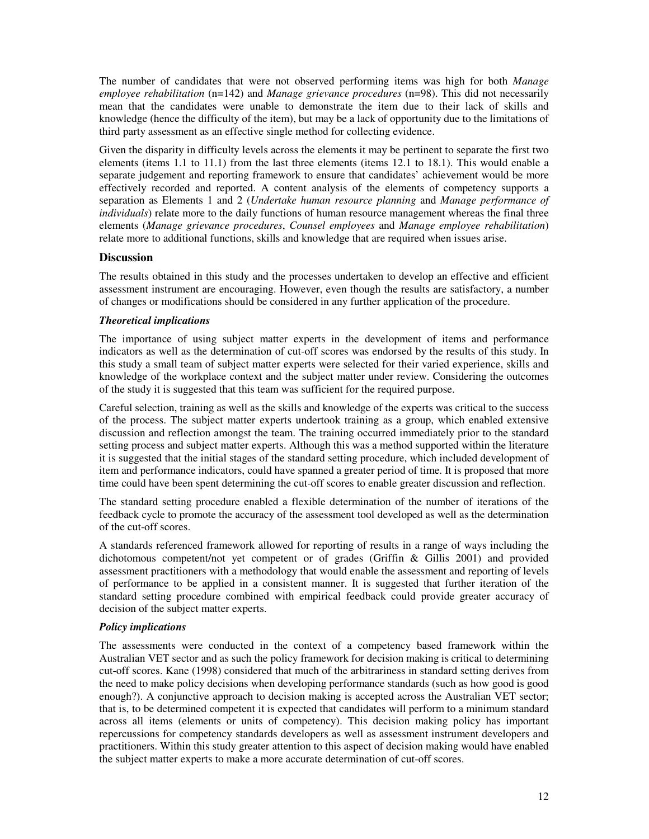The number of candidates that were not observed performing items was high for both *Manage employee rehabilitation* (n=142) and *Manage grievance procedures* (n=98). This did not necessarily mean that the candidates were unable to demonstrate the item due to their lack of skills and knowledge (hence the difficulty of the item), but may be a lack of opportunity due to the limitations of third party assessment as an effective single method for collecting evidence.

Given the disparity in difficulty levels across the elements it may be pertinent to separate the first two elements (items 1.1 to 11.1) from the last three elements (items 12.1 to 18.1). This would enable a separate judgement and reporting framework to ensure that candidates' achievement would be more effectively recorded and reported. A content analysis of the elements of competency supports a separation as Elements 1 and 2 (*Undertake human resource planning* and *Manage performance of individuals*) relate more to the daily functions of human resource management whereas the final three elements (*Manage grievance procedures*, *Counsel employees* and *Manage employee rehabilitation*) relate more to additional functions, skills and knowledge that are required when issues arise.

### **Discussion**

The results obtained in this study and the processes undertaken to develop an effective and efficient assessment instrument are encouraging. However, even though the results are satisfactory, a number of changes or modifications should be considered in any further application of the procedure.

### *Theoretical implications*

The importance of using subject matter experts in the development of items and performance indicators as well as the determination of cut-off scores was endorsed by the results of this study. In this study a small team of subject matter experts were selected for their varied experience, skills and knowledge of the workplace context and the subject matter under review. Considering the outcomes of the study it is suggested that this team was sufficient for the required purpose.

Careful selection, training as well as the skills and knowledge of the experts was critical to the success of the process. The subject matter experts undertook training as a group, which enabled extensive discussion and reflection amongst the team. The training occurred immediately prior to the standard setting process and subject matter experts. Although this was a method supported within the literature it is suggested that the initial stages of the standard setting procedure, which included development of item and performance indicators, could have spanned a greater period of time. It is proposed that more time could have been spent determining the cut-off scores to enable greater discussion and reflection.

The standard setting procedure enabled a flexible determination of the number of iterations of the feedback cycle to promote the accuracy of the assessment tool developed as well as the determination of the cut-off scores.

A standards referenced framework allowed for reporting of results in a range of ways including the dichotomous competent/not yet competent or of grades (Griffin & Gillis 2001) and provided assessment practitioners with a methodology that would enable the assessment and reporting of levels of performance to be applied in a consistent manner. It is suggested that further iteration of the standard setting procedure combined with empirical feedback could provide greater accuracy of decision of the subject matter experts.

### *Policy implications*

The assessments were conducted in the context of a competency based framework within the Australian VET sector and as such the policy framework for decision making is critical to determining cut-off scores. Kane (1998) considered that much of the arbitrariness in standard setting derives from the need to make policy decisions when developing performance standards (such as how good is good enough?). A conjunctive approach to decision making is accepted across the Australian VET sector; that is, to be determined competent it is expected that candidates will perform to a minimum standard across all items (elements or units of competency). This decision making policy has important repercussions for competency standards developers as well as assessment instrument developers and practitioners. Within this study greater attention to this aspect of decision making would have enabled the subject matter experts to make a more accurate determination of cut-off scores.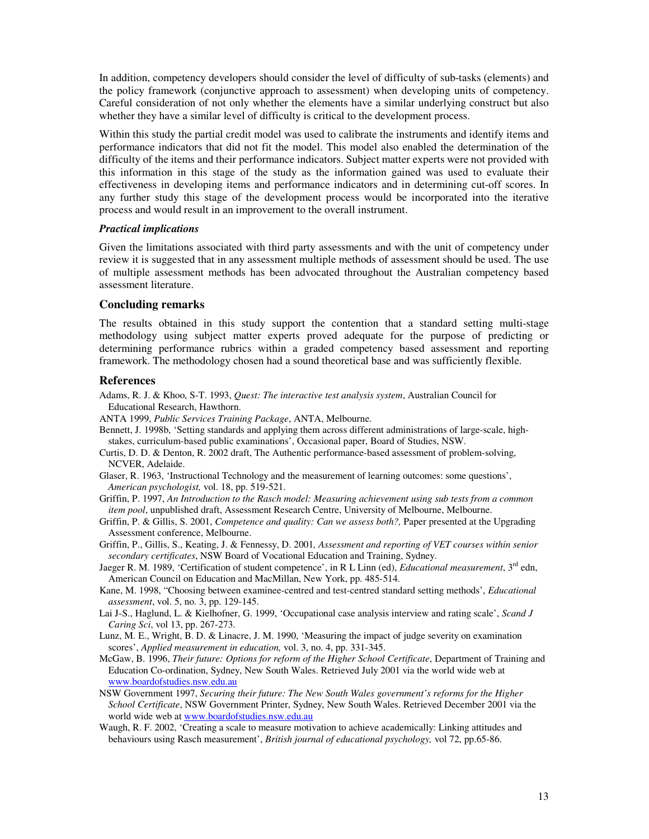In addition, competency developers should consider the level of difficulty of sub-tasks (elements) and the policy framework (conjunctive approach to assessment) when developing units of competency. Careful consideration of not only whether the elements have a similar underlying construct but also whether they have a similar level of difficulty is critical to the development process.

Within this study the partial credit model was used to calibrate the instruments and identify items and performance indicators that did not fit the model. This model also enabled the determination of the difficulty of the items and their performance indicators. Subject matter experts were not provided with this information in this stage of the study as the information gained was used to evaluate their effectiveness in developing items and performance indicators and in determining cut-off scores. In any further study this stage of the development process would be incorporated into the iterative process and would result in an improvement to the overall instrument.

### *Practical implications*

Given the limitations associated with third party assessments and with the unit of competency under review it is suggested that in any assessment multiple methods of assessment should be used. The use of multiple assessment methods has been advocated throughout the Australian competency based assessment literature.

#### **Concluding remarks**

The results obtained in this study support the contention that a standard setting multi-stage methodology using subject matter experts proved adequate for the purpose of predicting or determining performance rubrics within a graded competency based assessment and reporting framework. The methodology chosen had a sound theoretical base and was sufficiently flexible.

#### **References**

- Adams, R. J. & Khoo, S-T. 1993, *Quest: The interactive test analysis system*, Australian Council for Educational Research, Hawthorn.
- ANTA 1999, *Public Services Training Package*, ANTA, Melbourne.
- Bennett, J. 1998b, 'Setting standards and applying them across different administrations of large-scale, highstakes, curriculum-based public examinations', Occasional paper, Board of Studies, NSW.
- Curtis, D. D. & Denton, R. 2002 draft, The Authentic performance-based assessment of problem-solving, NCVER, Adelaide.
- Glaser, R. 1963, 'Instructional Technology and the measurement of learning outcomes: some questions', *American psychologist,* vol. 18, pp. 519-521.
- Griffin, P. 1997, *An Introduction to the Rasch model: Measuring achievement using sub tests from a common item pool*, unpublished draft, Assessment Research Centre, University of Melbourne, Melbourne.
- Griffin, P. & Gillis, S. 2001, *Competence and quality: Can we assess both?,* Paper presented at the Upgrading Assessment conference, Melbourne.
- Griffin, P., Gillis, S., Keating, J. & Fennessy, D. 2001*, Assessment and reporting of VET courses within senior secondary certificates*, NSW Board of Vocational Education and Training, Sydney.
- Jaeger R. M. 1989, 'Certification of student competence', in R L Linn (ed), *Educational measurement*, 3<sup>rd</sup> edn, American Council on Education and MacMillan, New York, pp. 485-514.
- Kane, M. 1998, "Choosing between examinee-centred and test-centred standard setting methods', *Educational assessment*, vol. 5, no. 3, pp. 129-145.
- Lai J-S., Haglund, L. & Kielhofner, G. 1999, 'Occupational case analysis interview and rating scale', *Scand J Caring Sci*, vol 13, pp. 267-273.
- Lunz, M. E., Wright, B. D. & Linacre, J. M. 1990, 'Measuring the impact of judge severity on examination scores', *Applied measurement in education,* vol. 3, no. 4, pp. 331-345.
- McGaw, B. 1996, *Their future: Options for reform of the Higher School Certificate*, Department of Training and Education Co-ordination, Sydney, New South Wales. Retrieved July 2001 via the world wide web at www.boardofstudies.nsw.edu.au
- NSW Government 1997, *Securing their future: The New South Wales government's reforms for the Higher School Certificate*, NSW Government Printer, Sydney, New South Wales. Retrieved December 2001 via the world wide web at www.boardofstudies.nsw.edu.au
- Waugh, R. F. 2002, 'Creating a scale to measure motivation to achieve academically: Linking attitudes and behaviours using Rasch measurement', *British journal of educational psychology,* vol 72, pp.65-86.